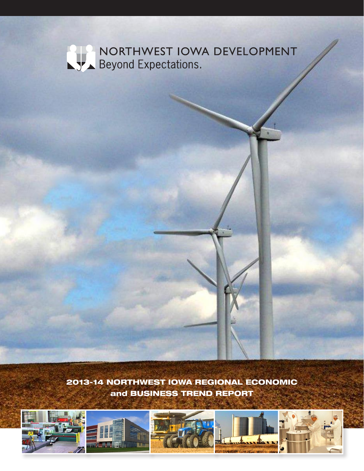# NORTHWEST IOWA DEVELOPMENT

2013-14 NORTHWEST IOWA REGIONAL ECONOMIC and BUSINESS TREND REPORT

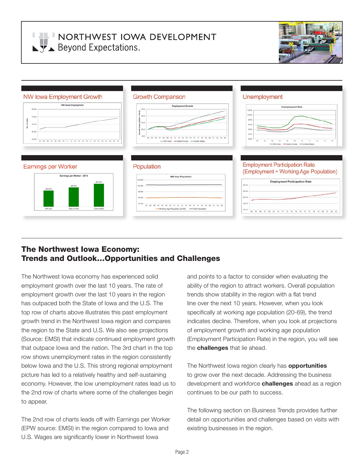**LELL NORTHWEST IOWA DEVELOPMENT**  $\sqrt{y}$  Beyond Expectations.





## The Northwest Iowa Economy: Trends and Outlook…Opportunities and Challenges

The Northwest Iowa economy has experienced solid employment growth over the last 10 years. The rate of employment growth over the last 10 years in the region has outpaced both the State of Iowa and the U.S. The top row of charts above illustrates this past employment growth trend in the Northwest Iowa region and compares the region to the State and U.S. We also see projections (Source: EMSI) that indicate continued employment growth that outpace Iowa and the nation. The 3rd chart in the top row shows unemployment rates in the region consistently below Iowa and the U.S. This strong regional employment picture has led to a relatively healthy and self-sustaining economy. However, the low unemployment rates lead us to the 2nd row of charts where some of the challenges begin to appear.

The 2nd row of charts leads off with Earnings per Worker (EPW source: EMSI) in the region compared to Iowa and U.S. Wages are significantly lower in Northwest Iowa

and points to a factor to consider when evaluating the ability of the region to attract workers. Overall population trends show stability in the region with a flat trend line over the next 10 years. However, when you look specifically at working age population (20-69), the trend indicates decline. Therefore, when you look at projections of employment growth and working age population (Employment Participation Rate) in the region, you will see the **challenges** that lie ahead.

The Northwest Iowa region clearly has **opportunities** to grow over the next decade. Addressing the business development and workforce **challenges** ahead as a region continues to be our path to success.

The following section on Business Trends provides further detail on opportunities and challenges based on visits with existing businesses in the region.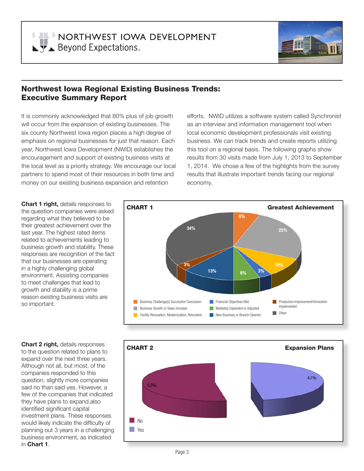

## Northwest Iowa Regional Existing Business Trends: Executive Summary Report

It is commonly acknowledged that 80% plus of job growth will occur from the expansion of existing businesses. The six county Northwest Iowa region places a high degree of emphasis on regional businesses for just that reason. Each year, Northwest Iowa Development (NWID) establishes the encouragement and support of existing business visits at the local level as a priority strategy. We encourage our local partners to spend most of their resources in both time and money on our existing business expansion and retention

efforts. NWID utilizes a software system called Synchronist as an interview and information management tool when local economic development professionals visit existing business. We can track trends and create reports utilizing this tool on a regional basis. The following graphs show results from 30 visits made from July 1, 2013 to September 1, 2014. We chose a few of the highlights from the survey results that illustrate important trends facing our regional economy.

**Chart 1 right,** details responses to the question companies were asked regarding what they believed to be their greatest achievement over the last year. The highest rated items related to achievements leading to business growth and stability. These responses are recognition of the fact that our businesses are operating in a highly challenging global environment. Assisting companies to meet challenges that lead to growth and stability is a prime reason existing business visits are so important.

**Chart 2 right,** details responses to the question related to plans to expand over the next three years. Although not all, but most, of the companies responded to this question, slightly more companies said no than said yes. However, a few of the companies that indicated they have plans to expand,also identified significant capital investment plans. These responses would likely indicate the difficulty of planning out 3 years in a challenging business environment, as indicated in **Chart 1**.



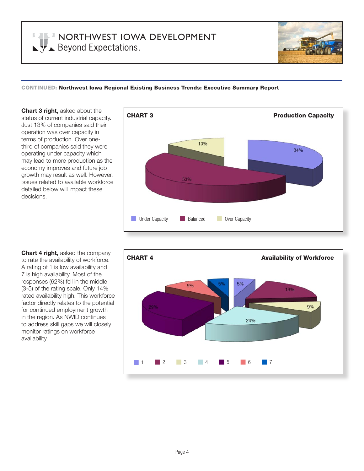

#### CONTINUED: Northwest Iowa Regional Existing Business Trends: Executive Summary Report

**Chart 3 right,** asked about the status of current industrial capacity. Just 13% of companies said their operation was over capacity in terms of production. Over onethird of companies said they were operating under capacity which may lead to more production as the economy improves and future job growth may result as well. However, issues related to available workforce detailed below will impact these decisions.





**Chart 4 right,** asked the company to rate the availability of workforce. A rating of 1 is low availability and 7 is high availability. Most of the responses (62%) fell in the middle (3-5) of the rating scale. Only 14% rated availability high. This workforce factor directly relates to the potential for continued employment growth in the region. As NWID continues to address skill gaps we will closely monitor ratings on workforce availability.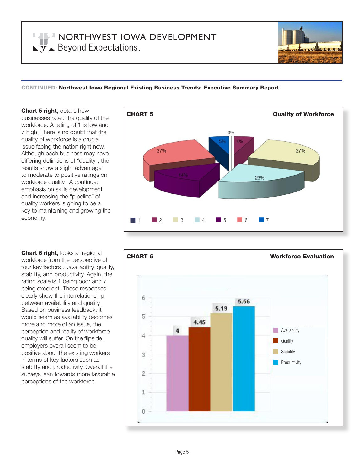

#### CONTINUED: Northwest Iowa Regional Existing Business Trends: Executive Summary Report

**Chart 5 right,** details how businesses rated the quality of the workforce. A rating of 1 is low and 7 high. There is no doubt that the quality of workforce is a crucial issue facing the nation right now. Although each business may have differing definitions of "quality", the results show a slight advantage to moderate to positive ratings on workforce quality. A continued emphasis on skills development and increasing the "pipeline" of quality workers is going to be a key to maintaining and growing the economy.

**Chart 6 right,** looks at regional workforce from the perspective of four key factors….availability, quality, stability, and productivity. Again, the rating scale is 1 being poor and 7 being excellent. These responses clearly show the interrelationship between availability and quality. Based on business feedback, it would seem as availability becomes more and more of an issue, the perception and reality of workforce quality will suffer. On the flipside, employers overall seem to be positive about the existing workers in terms of key factors such as stability and productivity. Overall the surveys lean towards more favorable perceptions of the workforce.